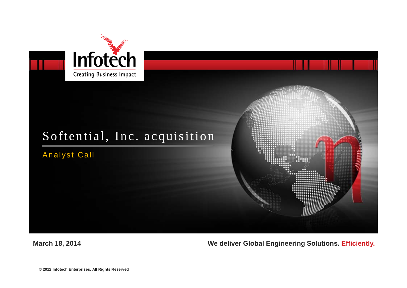

## Softential, Inc. acquisition

Analyst Call



#### **March 18, 2014 We deliver Global Engineering Solutions. Efficiently.**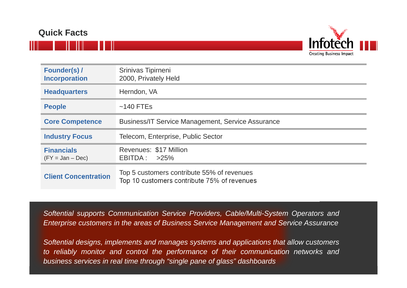## **Quick Facts**



| <b>Founder(s)/</b><br><b>Incorporation</b> | Srinivas Tipirneni<br>2000, Privately Held                                                |
|--------------------------------------------|-------------------------------------------------------------------------------------------|
| <b>Headquarters</b>                        | Herndon, VA                                                                               |
| <b>People</b>                              | $~140$ FTEs                                                                               |
| <b>Core Competence</b>                     | <b>Business/IT Service Management, Service Assurance</b>                                  |
| <b>Industry Focus</b>                      | Telecom, Enterprise, Public Sector                                                        |
| <b>Financials</b><br>$(FY = Jan - Dec)$    | Revenues: \$17 Million<br>$EBITDA: >25\%$                                                 |
| <b>Client Concentration</b>                | Top 5 customers contribute 55% of revenues<br>Top 10 customers contribute 75% of revenues |

*Softential supports Communication Service Providers, Cable/Multi-System Operators and* Enterprise customers in the areas of Business Service Management and Service Assurance

Softential designs, implements and manages systems and applications that allow customers to reliably monitor and control the performance of their communication networks and *business services in real time through "single pane of glass" dashboards*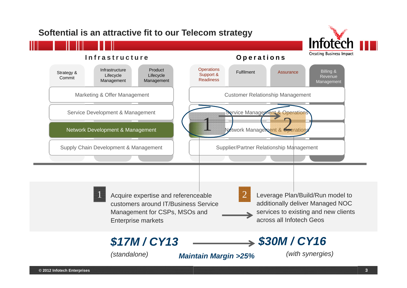## **Softential is an attractive fit to our Telecom strategy**



#### **Infrastructure**



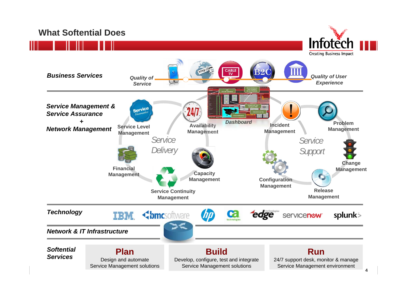## **What Softential Does**



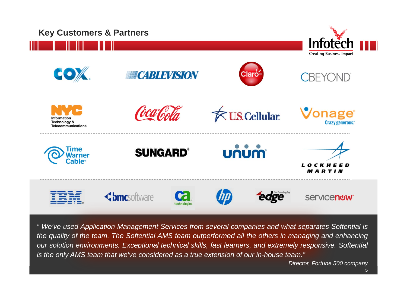

" We've used Application Management Services from several companies and what separates Softential is the quality of the team. The Softential AMS team outperformed all the others in managing and enhancing our solution environments. Exceptional technical skills, fast learners, and extremely responsive. Softential is the only AMS team that we've considered as a true extension of our in-house team."

*Director, Fortune 500 company*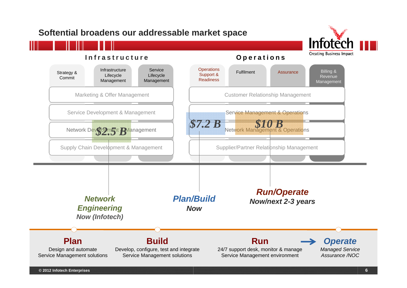## **Softential broadens our addressable market space**



#### **Infrastructure**

#### **Operations**

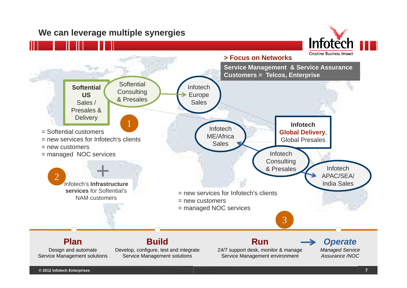## **We can leverage multiple synergies**



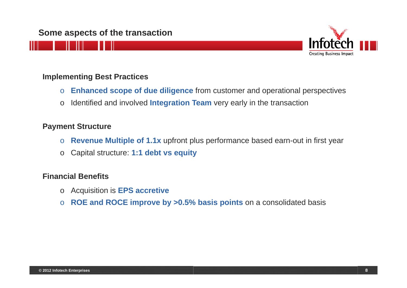### **Some aspects of the transaction**



#### **Implementing Best Practices**

- o**Enhanced scope of due diligence** from customer and operational perspectives
- o Identified and involved **Integration Team** very early in the transaction

#### **Payment Structure**

- o**Revenue Multiple of 1.1x** upfront plus performance based earn-out in first year
- o Capital structure: **1:1 debt vs equity**

#### **Financial Benefits**

- o Acquisition is **EPS accretive**
- o **ROE and ROCE improve by >0.5% basis points** on a consolidated basis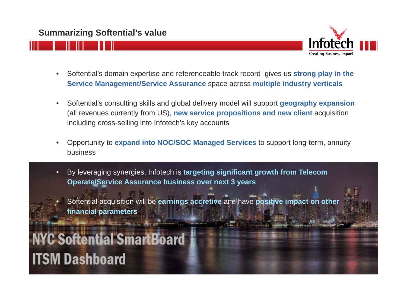

- • Softential's domain expertise and referenceable track record gives us **strong play in the Service Management/Service Assurance** space across **multiple industry verticals**
- $\bullet$  Softential's consulting skills and global delivery model will support **geography expansion**  (all revenues currently from US), **new service propositions and new client** acquisition including cross-selling into Infotech's key accounts
- • Opportunity to **expand into NOC/SOC Managed Services** to support long-term, annuity business
- • By leveraging synergies, Infotech is **targeting significant growth from Telecom Operate/Service Assurance business over next 3 years**
- • Softential acquisition will be **earnings accretive** and have **positive impact on other financial parameters**

# **C Softential SmartBoard ITSM Dashboard**